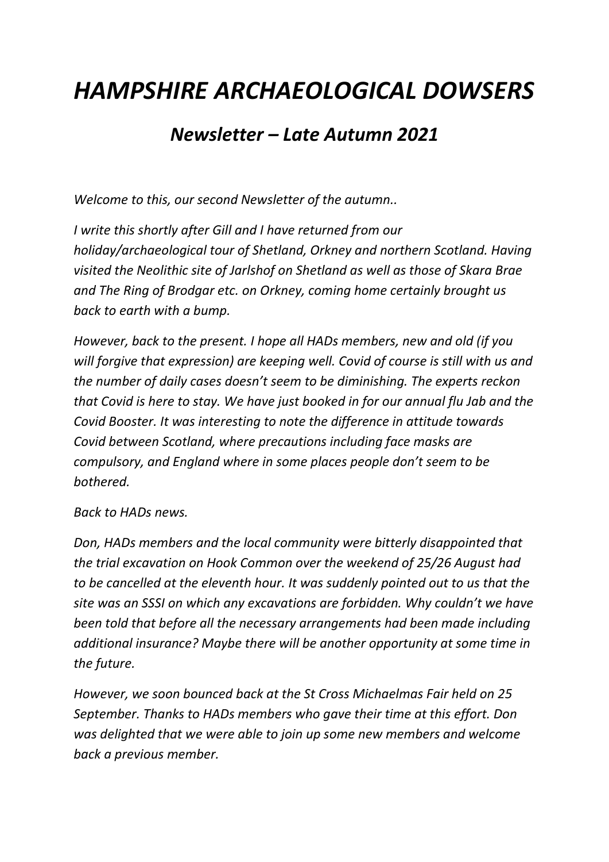## *HAMPSHIRE ARCHAEOLOGICAL DOWSERS*

## *Newsletter – Late Autumn 2021*

*Welcome to this, our second Newsletter of the autumn..*

*I write this shortly after Gill and I have returned from our holiday/archaeological tour of Shetland, Orkney and northern Scotland. Having visited the Neolithic site of Jarlshof on Shetland as well as those of Skara Brae and The Ring of Brodgar etc. on Orkney, coming home certainly brought us back to earth with a bump.*

*However, back to the present. I hope all HADs members, new and old (if you will forgive that expression) are keeping well. Covid of course is still with us and the number of daily cases doesn't seem to be diminishing. The experts reckon that Covid is here to stay. We have just booked in for our annual flu Jab and the Covid Booster. It was interesting to note the difference in attitude towards Covid between Scotland, where precautions including face masks are compulsory, and England where in some places people don't seem to be bothered.*

## *Back to HADs news.*

*Don, HADs members and the local community were bitterly disappointed that the trial excavation on Hook Common over the weekend of 25/26 August had to be cancelled at the eleventh hour. It was suddenly pointed out to us that the site was an SSSI on which any excavations are forbidden. Why couldn't we have been told that before all the necessary arrangements had been made including additional insurance? Maybe there will be another opportunity at some time in the future.*

*However, we soon bounced back at the St Cross Michaelmas Fair held on 25 September. Thanks to HADs members who gave their time at this effort. Don was delighted that we were able to join up some new members and welcome back a previous member.*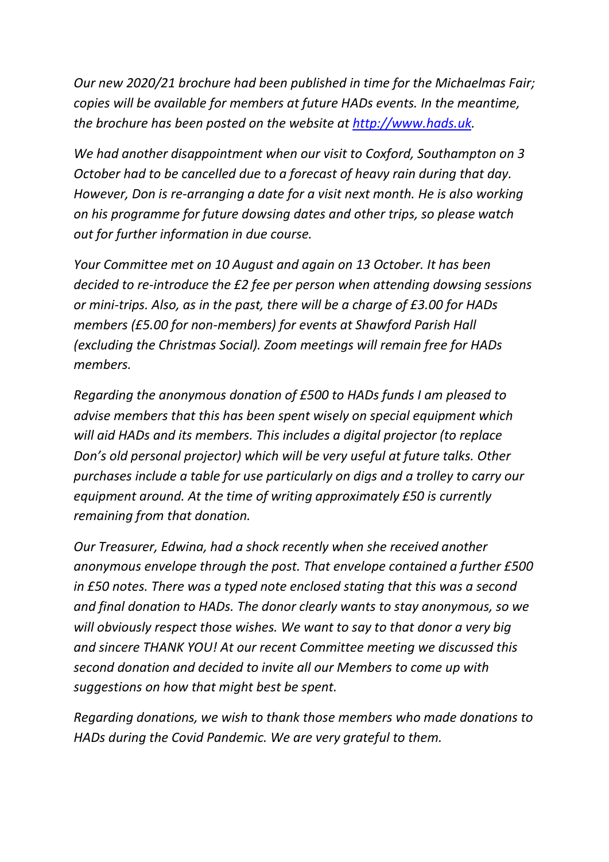*Our new 2020/21 brochure had been published in time for the Michaelmas Fair; copies will be available for members at future HADs events. In the meantime, the brochure has been posted on the website at [http://www.hads.uk.](http://www.hads.uk/)*

*We had another disappointment when our visit to Coxford, Southampton on 3 October had to be cancelled due to a forecast of heavy rain during that day. However, Don is re-arranging a date for a visit next month. He is also working on his programme for future dowsing dates and other trips, so please watch out for further information in due course.*

*Your Committee met on 10 August and again on 13 October. It has been decided to re-introduce the £2 fee per person when attending dowsing sessions or mini-trips. Also, as in the past, there will be a charge of £3.00 for HADs members (£5.00 for non-members) for events at Shawford Parish Hall (excluding the Christmas Social). Zoom meetings will remain free for HADs members.*

*Regarding the anonymous donation of £500 to HADs funds I am pleased to advise members that this has been spent wisely on special equipment which will aid HADs and its members. This includes a digital projector (to replace Don's old personal projector) which will be very useful at future talks. Other purchases include a table for use particularly on digs and a trolley to carry our equipment around. At the time of writing approximately £50 is currently remaining from that donation.*

*Our Treasurer, Edwina, had a shock recently when she received another anonymous envelope through the post. That envelope contained a further £500 in £50 notes. There was a typed note enclosed stating that this was a second and final donation to HADs. The donor clearly wants to stay anonymous, so we will obviously respect those wishes. We want to say to that donor a very big and sincere THANK YOU! At our recent Committee meeting we discussed this second donation and decided to invite all our Members to come up with suggestions on how that might best be spent.*

*Regarding donations, we wish to thank those members who made donations to HADs during the Covid Pandemic. We are very grateful to them.*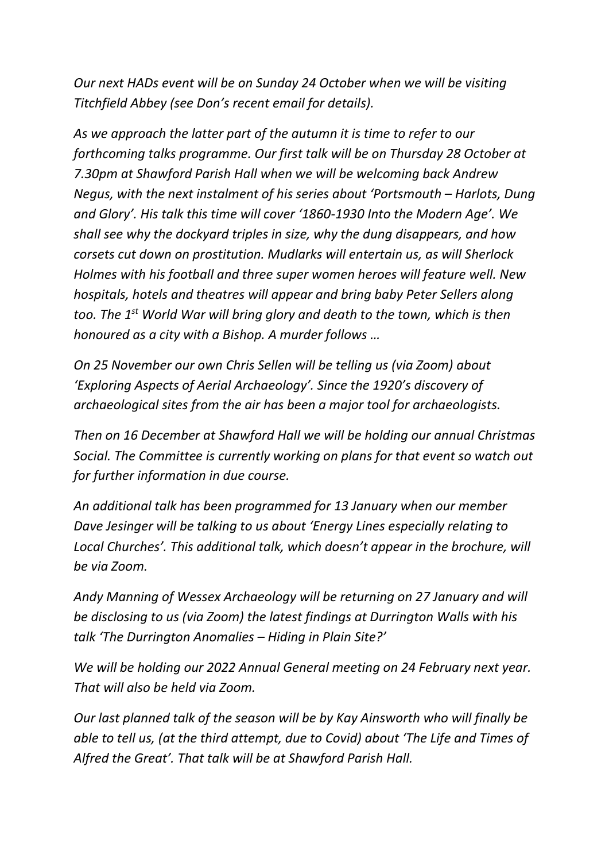*Our next HADs event will be on Sunday 24 October when we will be visiting Titchfield Abbey (see Don's recent email for details).*

*As we approach the latter part of the autumn it is time to refer to our forthcoming talks programme. Our first talk will be on Thursday 28 October at 7.30pm at Shawford Parish Hall when we will be welcoming back Andrew Negus, with the next instalment of his series about 'Portsmouth – Harlots, Dung and Glory'. His talk this time will cover '1860-1930 Into the Modern Age'. We shall see why the dockyard triples in size, why the dung disappears, and how corsets cut down on prostitution. Mudlarks will entertain us, as will Sherlock Holmes with his football and three super women heroes will feature well. New hospitals, hotels and theatres will appear and bring baby Peter Sellers along too. The 1st World War will bring glory and death to the town, which is then honoured as a city with a Bishop. A murder follows …*

*On 25 November our own Chris Sellen will be telling us (via Zoom) about 'Exploring Aspects of Aerial Archaeology'. Since the 1920's discovery of archaeological sites from the air has been a major tool for archaeologists.*

*Then on 16 December at Shawford Hall we will be holding our annual Christmas Social. The Committee is currently working on plans for that event so watch out for further information in due course.*

*An additional talk has been programmed for 13 January when our member Dave Jesinger will be talking to us about 'Energy Lines especially relating to Local Churches'. This additional talk, which doesn't appear in the brochure, will be via Zoom.*

*Andy Manning of Wessex Archaeology will be returning on 27 January and will be disclosing to us (via Zoom) the latest findings at Durrington Walls with his talk 'The Durrington Anomalies – Hiding in Plain Site?'*

*We will be holding our 2022 Annual General meeting on 24 February next year. That will also be held via Zoom.*

*Our last planned talk of the season will be by Kay Ainsworth who will finally be able to tell us, (at the third attempt, due to Covid) about 'The Life and Times of Alfred the Great'. That talk will be at Shawford Parish Hall.*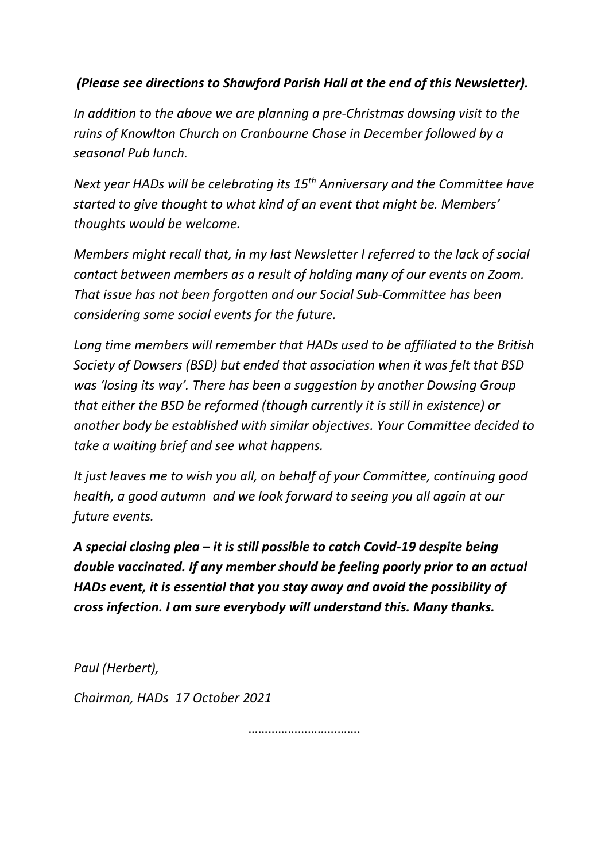## *(Please see directions to Shawford Parish Hall at the end of this Newsletter).*

*In addition to the above we are planning a pre-Christmas dowsing visit to the ruins of Knowlton Church on Cranbourne Chase in December followed by a seasonal Pub lunch.*

*Next year HADs will be celebrating its 15th Anniversary and the Committee have started to give thought to what kind of an event that might be. Members' thoughts would be welcome.*

*Members might recall that, in my last Newsletter I referred to the lack of social contact between members as a result of holding many of our events on Zoom. That issue has not been forgotten and our Social Sub-Committee has been considering some social events for the future.*

*Long time members will remember that HADs used to be affiliated to the British Society of Dowsers (BSD) but ended that association when it was felt that BSD was 'losing its way'. There has been a suggestion by another Dowsing Group that either the BSD be reformed (though currently it is still in existence) or another body be established with similar objectives. Your Committee decided to take a waiting brief and see what happens.* 

*It just leaves me to wish you all, on behalf of your Committee, continuing good health, a good autumn and we look forward to seeing you all again at our future events.*

*A special closing plea – it is still possible to catch Covid-19 despite being double vaccinated. If any member should be feeling poorly prior to an actual HADs event, it is essential that you stay away and avoid the possibility of cross infection. I am sure everybody will understand this. Many thanks.*

*Paul (Herbert),* 

*Chairman, HADs 17 October 2021*

…………………………………………